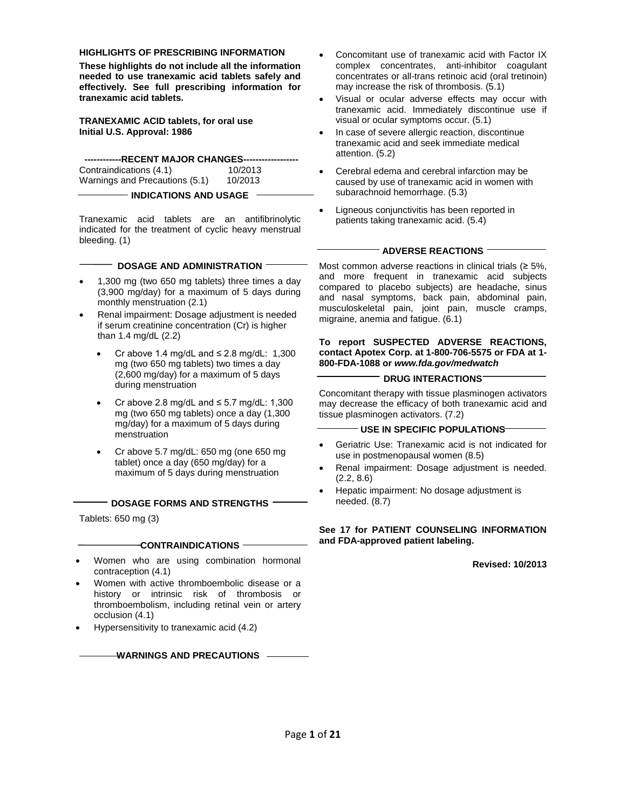#### **HIGHLIGHTS OF PRESCRIBING INFORMATION**

**These highlights do not include all the information needed to use tranexamic acid tablets safely and effectively. See full prescribing information for tranexamic acid tablets.**

**TRANEXAMIC ACID tablets, for oral use Initial U.S. Approval: 1986**

**------------RECENT MAJOR CHANGES------------------** Contraindications (4.1) 10/2013<br>Warnings and Precautions (5.1) 10/2013 Warnings and Precautions (5.1)

**INDICATIONS AND USAGE**

Tranexamic acid tablets are an antifibrinolytic indicated for the treatment of cyclic heavy menstrual bleeding. (1)

#### **DOSAGE AND ADMINISTRATION**

- 1,300 mg (two 650 mg tablets) three times a day (3,900 mg/day) for a maximum of 5 days during monthly menstruation (2.1)
- Renal impairment: Dosage adjustment is needed if serum creatinine concentration (Cr) is higher than 1.4 mg/dL (2.2)
	- Cr above 1.4 mg/dL and  $\leq$  2.8 mg/dL: 1,300 mg (two 650 mg tablets) two times a day (2,600 mg/day) for a maximum of 5 days during menstruation
	- Cr above 2.8 mg/dL and ≤ 5.7 mg/dL: 1,300 mg (two 650 mg tablets) once a day (1,300 mg/day) for a maximum of 5 days during menstruation
	- Cr above 5.7 mg/dL: 650 mg (one 650 mg tablet) once a day (650 mg/day) for a maximum of 5 days during menstruation

#### **DOSAGE FORMS AND STRENGTHS**

Tablets: 650 mg (3)

#### **CONTRAINDICATIONS**

- Women who are using combination hormonal contraception (4.1)
- Women with active thromboembolic disease or a history or intrinsic risk of thrombosis or thromboembolism, including retinal vein or artery occlusion (4.1)
- Hypersensitivity to tranexamic acid (4.2)

#### **WARNINGS AND PRECAUTIONS**

- Concomitant use of tranexamic acid with Factor IX complex concentrates, anti-inhibitor coagulant concentrates or all-trans retinoic acid (oral tretinoin) may increase the risk of thrombosis. (5.1)
- Visual or ocular adverse effects may occur with tranexamic acid. Immediately discontinue use if visual or ocular symptoms occur. (5.1)
- In case of severe allergic reaction, discontinue tranexamic acid and seek immediate medical attention. (5.2)
- Cerebral edema and cerebral infarction may be caused by use of tranexamic acid in women with subarachnoid hemorrhage. (5.3)
- Ligneous conjunctivitis has been reported in patients taking tranexamic acid. (5.4)

#### $^{\mathrm{-}}$  ADVERSE REACTIONS  $^{\mathrm{-}}$

Most common adverse reactions in clinical trials  $(≥ 5\%, )$ and more frequent in tranexamic acid subjects compared to placebo subjects) are headache, sinus and nasal symptoms, back pain, abdominal pain, musculoskeletal pain, joint pain, muscle cramps, migraine, anemia and fatigue. (6.1)

#### **To report SUSPECTED ADVERSE REACTIONS, contact Apotex Corp. at 1-800-706-5575 or FDA at 1- 800-FDA-1088 or** *[www.fda.gov/medwatch](http://www.fda.gov/medwatch)*

#### **DRUG INTERACTIONS**

Concomitant therapy with tissue plasminogen activators may decrease the efficacy of both tranexamic acid and tissue plasminogen activators. (7.2)

#### **USE IN SPECIFIC POPULATIONS**

- Geriatric Use: Tranexamic acid is not indicated for use in postmenopausal women (8.5)
- Renal impairment: Dosage adjustment is needed. (2.2, 8.6)
- Hepatic impairment: No dosage adjustment is needed. (8.7)

#### **See [17](#page-15-0) for PATIENT COUNSELING INFORMATION and FDA-approved patient labeling.**

**Revised: 10/2013**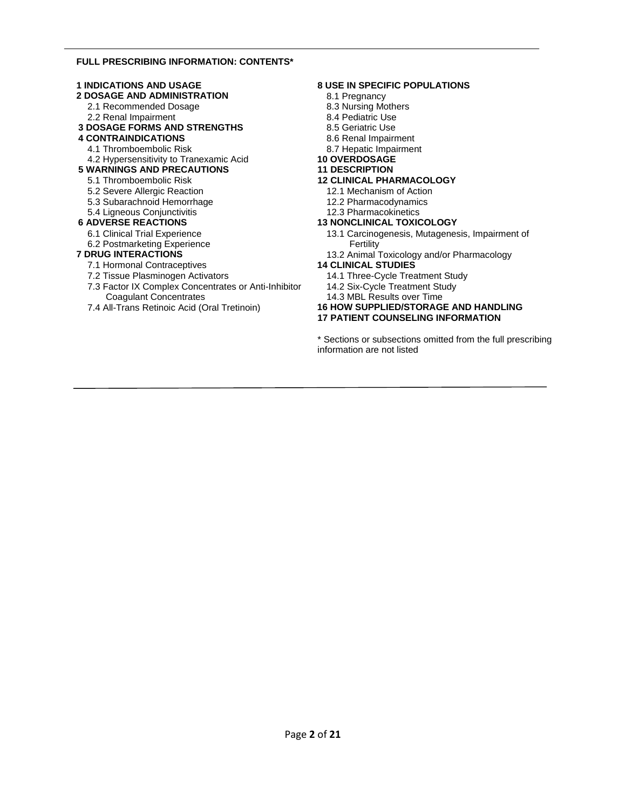#### **FULL PRESCRIBING INFORMATION: CONTENTS\***

#### **[1 INDICATIONS AND USAGE](#page-2-0) [2 DOSAGE AND ADMINISTRATION](#page-2-1)** [2.1 Recommended Dosage](#page-2-2) [2.2 Renal Impairment](#page-2-3) **[3 DOSAGE FORMS AND STRENGTHS](#page-2-4) [4 CONTRAINDICATIONS](#page-2-5)** [4.1 Thromboembolic Risk](#page-2-6) [4.2 Hypersensitivity to Tranexamic Acid](#page-3-0) **[5 WARNINGS AND PRECAUTIONS](#page-3-1)** [5.1 Thromboembolic Risk](#page-3-2) [5.2 Severe Allergic Reaction](#page-3-3) [5.3 Subarachnoid Hemorrhage](#page-4-0) [5.4 Ligneous Conjunctivitis](#page-4-1) **[6 ADVERSE REACTIONS](#page-4-2)** [6.1 Clinical Trial](#page-4-3) Experience [6.2 Postmarketing Experience](#page-5-0) **[7 DRUG INTERACTIONS](#page-6-0)** [7.1 Hormonal Contraceptives](#page-6-1) [7.2 Tissue Plasminogen Activators](#page-6-2) [7.3 Factor IX Complex Concentrates or Anti-Inhibitor](#page-6-3)

[Coagulant Concentrates](#page-6-3) [7.4 All-Trans Retinoic Acid \(Oral Tretinoin\)](#page-6-4)

#### <span id="page-1-0"></span>**[8 USE IN SPECIFIC POPULATIONS](#page-6-5)**

- [8.1 Pregnancy](#page-6-6)
- [8.3 Nursing Mothers](#page-7-0)
- [8.4 Pediatric Use](#page-7-1)
- [8.5 Geriatric Use](#page-7-2)
- [8.6 Renal Impairment](#page-7-3)
- [8.7 Hepatic Impairment](#page-7-4)
- **[10 OVERDOSAGE](#page-7-5)**
- **[11 DESCRIPTION](#page-7-6)**

#### **[12 CLINICAL PHARMACOLOGY](#page-8-0)**

- [12.1 Mechanism of Action](#page-8-1)
- [12.2 Pharmacodynamics](#page-8-2)
- [12.3 Pharmacokinetics](#page-9-0)

#### **[13 NONCLINICAL TOXICOLOGY](#page-11-0)**

- [13.1 Carcinogenesis, Mutagenesis, Impairment of](#page-11-1)  [Fertility](#page-11-1)
- [13.2 Animal Toxicology and/or Pharmacology](#page-12-0)
- **[14 CLINICAL STUDIES](#page-12-1)**
	- [14.1 Three-Cycle Treatment Study](#page-13-0)
	- [14.2 Six-Cycle Treatment Study](#page-14-0)
	- [14.3 MBL Results over Time](#page-15-1)

#### **[16 HOW SUPPLIED/STORAGE AND HANDLING](#page-15-2) [17 PATIENT COUNSELING INFORMATION](#page-15-0)**

[\\*](#page-1-0) Sections or subsections omitted from the full prescribing information are not listed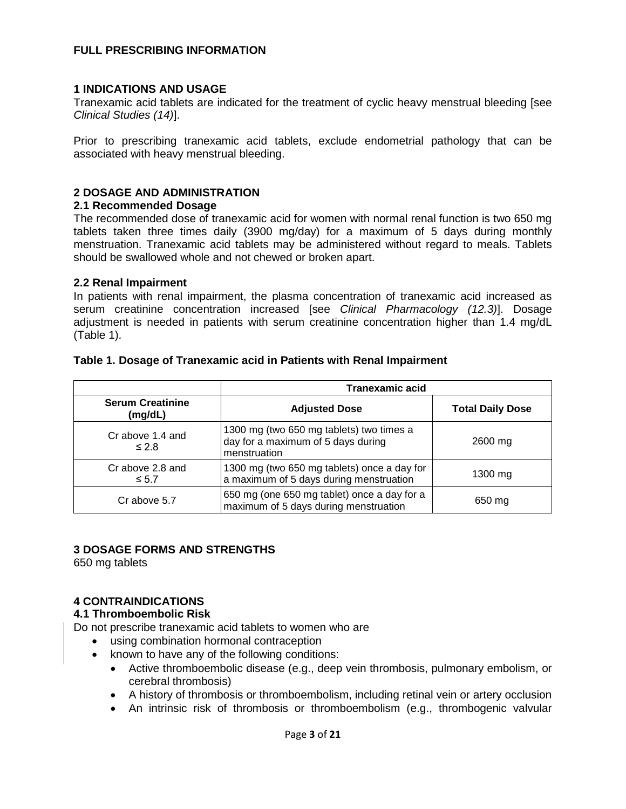## **FULL PRESCRIBING INFORMATION**

## <span id="page-2-0"></span>**1 INDICATIONS AND USAGE**

Tranexamic acid tablets are indicated for the treatment of cyclic heavy menstrual bleeding [see *Clinical Studies (14)*].

Prior to prescribing tranexamic acid tablets, exclude endometrial pathology that can be associated with heavy menstrual bleeding.

## <span id="page-2-1"></span>**2 DOSAGE AND ADMINISTRATION**

## <span id="page-2-2"></span>**2.1 Recommended Dosage**

The recommended dose of tranexamic acid for women with normal renal function is two 650 mg tablets taken three times daily (3900 mg/day) for a maximum of 5 days during monthly menstruation. Tranexamic acid tablets may be administered without regard to meals. Tablets should be swallowed whole and not chewed or broken apart.

### <span id="page-2-3"></span>**2.2 Renal Impairment**

In patients with renal impairment, the plasma concentration of tranexamic acid increased as serum creatinine concentration increased [see *Clinical Pharmacology (12.3)*]. Dosage adjustment is needed in patients with serum creatinine concentration higher than 1.4 mg/dL (Table 1).

|                                    | <b>Tranexamic acid</b>                                                                         |                         |  |
|------------------------------------|------------------------------------------------------------------------------------------------|-------------------------|--|
| <b>Serum Creatinine</b><br>(mg/dL) | <b>Adjusted Dose</b>                                                                           | <b>Total Daily Dose</b> |  |
| Cr above 1.4 and<br>$\leq 2.8$     | 1300 mg (two 650 mg tablets) two times a<br>day for a maximum of 5 days during<br>menstruation | 2600 mg                 |  |
| Cr above 2.8 and<br>$\leq 5.7$     | 1300 mg (two 650 mg tablets) once a day for<br>a maximum of 5 days during menstruation         | $1300$ mg               |  |
| Cr above 5.7                       | 650 mg (one 650 mg tablet) once a day for a<br>maximum of 5 days during menstruation           | 650 mg                  |  |

## **Table 1. Dosage of Tranexamic acid in Patients with Renal Impairment**

## <span id="page-2-4"></span>**3 DOSAGE FORMS AND STRENGTHS**

<span id="page-2-5"></span>650 mg tablets

## **4 CONTRAINDICATIONS**

## <span id="page-2-6"></span>**4.1 Thromboembolic Risk**

Do not prescribe tranexamic acid tablets to women who are

- using combination hormonal contraception
- known to have any of the following conditions:
	- Active thromboembolic disease (e.g., deep vein thrombosis, pulmonary embolism, or cerebral thrombosis)
	- A history of thrombosis or thromboembolism, including retinal vein or artery occlusion
	- An intrinsic risk of thrombosis or thromboembolism (e.g., thrombogenic valvular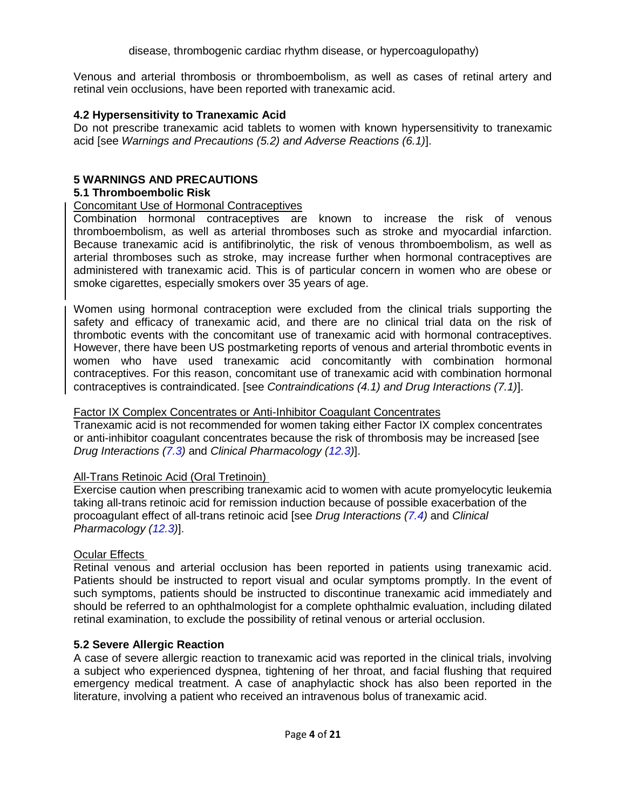Venous and arterial thrombosis or thromboembolism, as well as cases of retinal artery and retinal vein occlusions, have been reported with tranexamic acid.

## <span id="page-3-0"></span>**4.2 Hypersensitivity to Tranexamic Acid**

<span id="page-3-1"></span>Do not prescribe tranexamic acid tablets to women with known hypersensitivity to tranexamic acid [see *Warnings and Precautions (5.2) and Adverse Reactions (6.1)*].

## **5 WARNINGS AND PRECAUTIONS**

## <span id="page-3-2"></span>**5.1 Thromboembolic Risk**

## Concomitant Use of Hormonal Contraceptives

Combination hormonal contraceptives are known to increase the risk of venous thromboembolism, as well as arterial thromboses such as stroke and myocardial infarction. Because tranexamic acid is antifibrinolytic, the risk of venous thromboembolism, as well as arterial thromboses such as stroke, may increase further when hormonal contraceptives are administered with tranexamic acid. This is of particular concern in women who are obese or smoke cigarettes, especially smokers over 35 years of age.

Women using hormonal contraception were excluded from the clinical trials supporting the safety and efficacy of tranexamic acid, and there are no clinical trial data on the risk of thrombotic events with the concomitant use of tranexamic acid with hormonal contraceptives. However, there have been US postmarketing reports of venous and arterial thrombotic events in women who have used tranexamic acid concomitantly with combination hormonal contraceptives. For this reason, concomitant use of tranexamic acid with combination hormonal contraceptives is contraindicated. [see *Contraindications (4.1) and Drug Interactions (7.1)*].

## Factor IX Complex Concentrates or Anti-Inhibitor Coagulant Concentrates

Tranexamic acid is not recommended for women taking either Factor IX complex concentrates or anti-inhibitor coagulant concentrates because the risk of thrombosis may be increased [see *Drug Interactions (7.3)* and *Clinical Pharmacology (12.3)*].

# All-Trans Retinoic Acid (Oral Tretinoin)

Exercise caution when prescribing tranexamic acid to women with acute promyelocytic leukemia taking all-trans retinoic acid for remission induction because of possible exacerbation of the procoagulant effect of all-trans retinoic acid [see *Drug Interactions (7.4)* and *Clinical Pharmacology (12.3)*].

# **Ocular Effects**

Retinal venous and arterial occlusion has been reported in patients using tranexamic acid. Patients should be instructed to report visual and ocular symptoms promptly. In the event of such symptoms, patients should be instructed to discontinue tranexamic acid immediately and should be referred to an ophthalmologist for a complete ophthalmic evaluation, including dilated retinal examination, to exclude the possibility of retinal venous or arterial occlusion.

## <span id="page-3-3"></span>**5.2 Severe Allergic Reaction**

A case of severe allergic reaction to tranexamic acid was reported in the clinical trials, involving a subject who experienced dyspnea, tightening of her throat, and facial flushing that required emergency medical treatment. A case of anaphylactic shock has also been reported in the literature, involving a patient who received an intravenous bolus of tranexamic acid.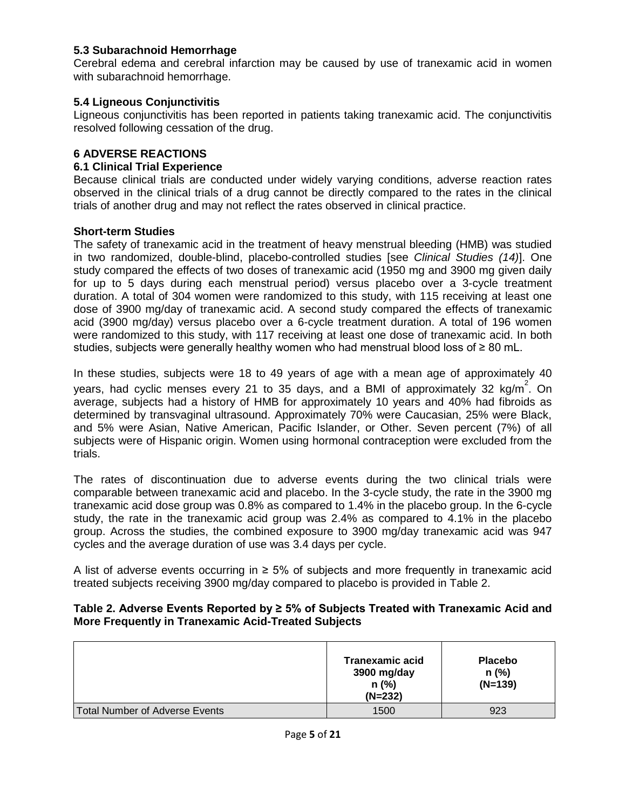## <span id="page-4-0"></span>**5.3 Subarachnoid Hemorrhage**

Cerebral edema and cerebral infarction may be caused by use of tranexamic acid in women with subarachnoid hemorrhage.

## <span id="page-4-1"></span>**5.4 Ligneous Conjunctivitis**

Ligneous conjunctivitis has been reported in patients taking tranexamic acid. The conjunctivitis resolved following cessation of the drug.

## <span id="page-4-2"></span>**6 ADVERSE REACTIONS**

## <span id="page-4-3"></span>**6.1 Clinical Trial Experience**

Because clinical trials are conducted under widely varying conditions, adverse reaction rates observed in the clinical trials of a drug cannot be directly compared to the rates in the clinical trials of another drug and may not reflect the rates observed in clinical practice.

### **Short-term Studies**

The safety of tranexamic acid in the treatment of heavy menstrual bleeding (HMB) was studied in two randomized, double-blind, placebo-controlled studies [see *Clinical Studies (14)*]. One study compared the effects of two doses of tranexamic acid (1950 mg and 3900 mg given daily for up to 5 days during each menstrual period) versus placebo over a 3-cycle treatment duration. A total of 304 women were randomized to this study, with 115 receiving at least one dose of 3900 mg/day of tranexamic acid. A second study compared the effects of tranexamic acid (3900 mg/day) versus placebo over a 6-cycle treatment duration. A total of 196 women were randomized to this study, with 117 receiving at least one dose of tranexamic acid. In both studies, subjects were generally healthy women who had menstrual blood loss of  $\geq 80$  mL.

In these studies, subjects were 18 to 49 years of age with a mean age of approximately 40 years, had cyclic menses every 21 to 35 days, and a BMI of approximately 32 kg/m<sup>2</sup>. On average, subjects had a history of HMB for approximately 10 years and 40% had fibroids as determined by transvaginal ultrasound. Approximately 70% were Caucasian, 25% were Black, and 5% were Asian, Native American, Pacific Islander, or Other. Seven percent (7%) of all subjects were of Hispanic origin. Women using hormonal contraception were excluded from the trials.

The rates of discontinuation due to adverse events during the two clinical trials were comparable between tranexamic acid and placebo. In the 3-cycle study, the rate in the 3900 mg tranexamic acid dose group was 0.8% as compared to 1.4% in the placebo group. In the 6-cycle study, the rate in the tranexamic acid group was 2.4% as compared to 4.1% in the placebo group. Across the studies, the combined exposure to 3900 mg/day tranexamic acid was 947 cycles and the average duration of use was 3.4 days per cycle.

A list of adverse events occurring in  $\geq$  5% of subjects and more frequently in tranexamic acid treated subjects receiving 3900 mg/day compared to placebo is provided in Table 2.

### **Table 2. Adverse Events Reported by ≥ 5% of Subjects Treated with Tranexamic Acid and More Frequently in Tranexamic Acid-Treated Subjects**

|                                       | <b>Tranexamic acid</b><br>3900 mg/day<br>$n$ (%)<br>$(N=232)$ | <b>Placebo</b><br>$n$ (%)<br>$(N=139)$ |
|---------------------------------------|---------------------------------------------------------------|----------------------------------------|
| <b>Total Number of Adverse Events</b> | 1500                                                          | 923                                    |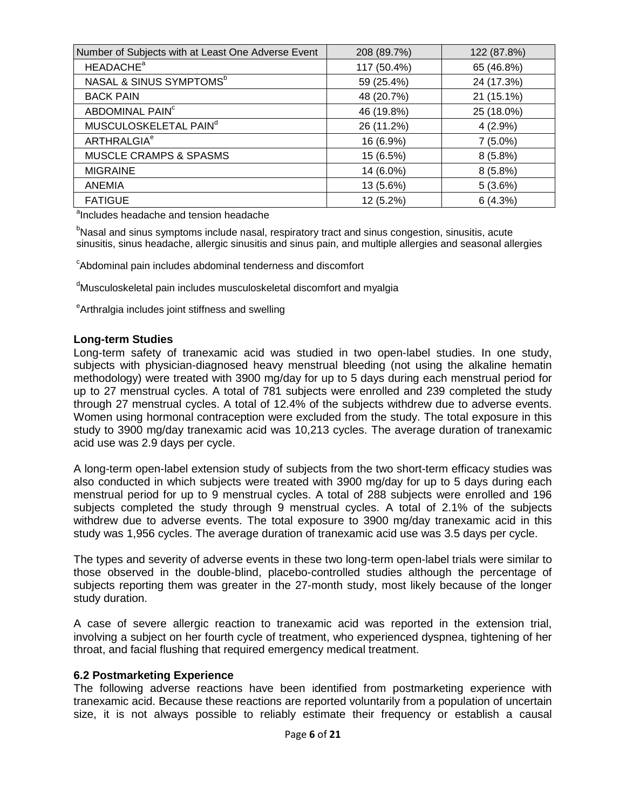| Number of Subjects with at Least One Adverse Event | 208 (89.7%) | 122 (87.8%) |
|----------------------------------------------------|-------------|-------------|
| <b>HEADACHE<sup>a</sup></b>                        | 117 (50.4%) | 65 (46.8%)  |
| NASAL & SINUS SYMPTOMS <sup>b</sup>                | 59 (25.4%)  | 24 (17.3%)  |
| <b>BACK PAIN</b>                                   | 48 (20.7%)  | 21 (15.1%)  |
| ABDOMINAL PAIN <sup>c</sup>                        | 46 (19.8%)  | 25 (18.0%)  |
| MUSCULOSKELETAL PAIN <sup>d</sup>                  | 26 (11.2%)  | 4(2.9%)     |
| <b>ARTHRALGIA<sup>e</sup></b>                      | 16 (6.9%)   | $7(5.0\%)$  |
| MUSCLE CRAMPS & SPASMS                             | 15 (6.5%)   | 8(5.8%)     |
| <b>MIGRAINE</b>                                    | 14 (6.0%)   | 8(5.8%)     |
| <b>ANEMIA</b>                                      | 13 (5.6%)   | 5(3.6%)     |
| <b>FATIGUE</b>                                     | 12 (5.2%)   | 6(4.3%)     |

<sup>a</sup>Includes headache and tension headache

<sup>b</sup>Nasal and sinus symptoms include nasal, respiratory tract and sinus congestion, sinusitis, acute sinusitis, sinus headache, allergic sinusitis and sinus pain, and multiple allergies and seasonal allergies

<sup>c</sup>Abdominal pain includes abdominal tenderness and discomfort

<sup>d</sup>Musculoskeletal pain includes musculoskeletal discomfort and myalgia

<sup>e</sup>Arthralgia includes joint stiffness and swelling

## **Long-term Studies**

Long-term safety of tranexamic acid was studied in two open-label studies. In one study, subjects with physician-diagnosed heavy menstrual bleeding (not using the alkaline hematin methodology) were treated with 3900 mg/day for up to 5 days during each menstrual period for up to 27 menstrual cycles. A total of 781 subjects were enrolled and 239 completed the study through 27 menstrual cycles. A total of 12.4% of the subjects withdrew due to adverse events. Women using hormonal contraception were excluded from the study. The total exposure in this study to 3900 mg/day tranexamic acid was 10,213 cycles. The average duration of tranexamic acid use was 2.9 days per cycle.

A long-term open-label extension study of subjects from the two short-term efficacy studies was also conducted in which subjects were treated with 3900 mg/day for up to 5 days during each menstrual period for up to 9 menstrual cycles. A total of 288 subjects were enrolled and 196 subjects completed the study through 9 menstrual cycles. A total of 2.1% of the subjects withdrew due to adverse events. The total exposure to 3900 mg/day tranexamic acid in this study was 1,956 cycles. The average duration of tranexamic acid use was 3.5 days per cycle.

The types and severity of adverse events in these two long-term open-label trials were similar to those observed in the double-blind, placebo-controlled studies although the percentage of subjects reporting them was greater in the 27-month study, most likely because of the longer study duration.

A case of severe allergic reaction to tranexamic acid was reported in the extension trial, involving a subject on her fourth cycle of treatment, who experienced dyspnea, tightening of her throat, and facial flushing that required emergency medical treatment.

## <span id="page-5-0"></span>**6.2 Postmarketing Experience**

The following adverse reactions have been identified from postmarketing experience with tranexamic acid. Because these reactions are reported voluntarily from a population of uncertain size, it is not always possible to reliably estimate their frequency or establish a causal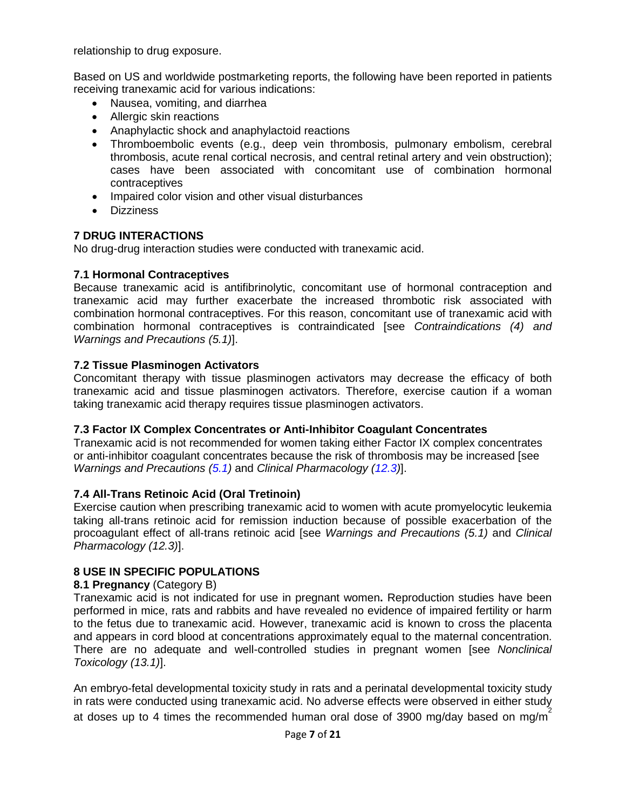relationship to drug exposure.

Based on US and worldwide postmarketing reports, the following have been reported in patients receiving tranexamic acid for various indications:

- Nausea, vomiting, and diarrhea
- Allergic skin reactions
- Anaphylactic shock and anaphylactoid reactions
- Thromboembolic events (e.g., deep vein thrombosis, pulmonary embolism, cerebral thrombosis, acute renal cortical necrosis, and central retinal artery and vein obstruction); cases have been associated with concomitant use of combination hormonal contraceptives
- Impaired color vision and other visual disturbances
- Dizziness

# <span id="page-6-0"></span>**7 DRUG INTERACTIONS**

No drug-drug interaction studies were conducted with tranexamic acid.

# <span id="page-6-1"></span>**7.1 Hormonal Contraceptives**

Because tranexamic acid is antifibrinolytic, concomitant use of hormonal contraception and tranexamic acid may further exacerbate the increased thrombotic risk associated with combination hormonal contraceptives. For this reason, concomitant use of tranexamic acid with combination hormonal contraceptives is contraindicated [see *Contraindications (4) and Warnings and Precautions (5.1)*].

# <span id="page-6-2"></span>**7.2 Tissue Plasminogen Activators**

Concomitant therapy with tissue plasminogen activators may decrease the efficacy of both tranexamic acid and tissue plasminogen activators. Therefore, exercise caution if a woman taking tranexamic acid therapy requires tissue plasminogen activators.

# <span id="page-6-3"></span>**7.3 Factor IX Complex Concentrates or Anti-Inhibitor Coagulant Concentrates**

Tranexamic acid is not recommended for women taking either Factor IX complex concentrates or anti-inhibitor coagulant concentrates because the risk of thrombosis may be increased [see *Warnings and Precautions (5.1)* and *Clinical Pharmacology (12.3)*].

# <span id="page-6-4"></span>**7.4 All-Trans Retinoic Acid (Oral Tretinoin)**

Exercise caution when prescribing tranexamic acid to women with acute promyelocytic leukemia taking all-trans retinoic acid for remission induction because of possible exacerbation of the procoagulant effect of all-trans retinoic acid [see *Warnings and Precautions (5.1)* and *Clinical Pharmacology (12.3)*].

# <span id="page-6-5"></span>**8 USE IN SPECIFIC POPULATIONS**

# <span id="page-6-6"></span>**8.1 Pregnancy** (Category B)

Tranexamic acid is not indicated for use in pregnant women**.** Reproduction studies have been performed in mice, rats and rabbits and have revealed no evidence of impaired fertility or harm to the fetus due to tranexamic acid. However, tranexamic acid is known to cross the placenta and appears in cord blood at concentrations approximately equal to the maternal concentration. There are no adequate and well-controlled studies in pregnant women [see *Nonclinical Toxicology (13.1)*].

An embryo-fetal developmental toxicity study in rats and a perinatal developmental toxicity study in rats were conducted using tranexamic acid. No adverse effects were observed in either study at doses up to 4 times the recommended human oral dose of 3900 mg/day based on mg/m<sup>2</sup>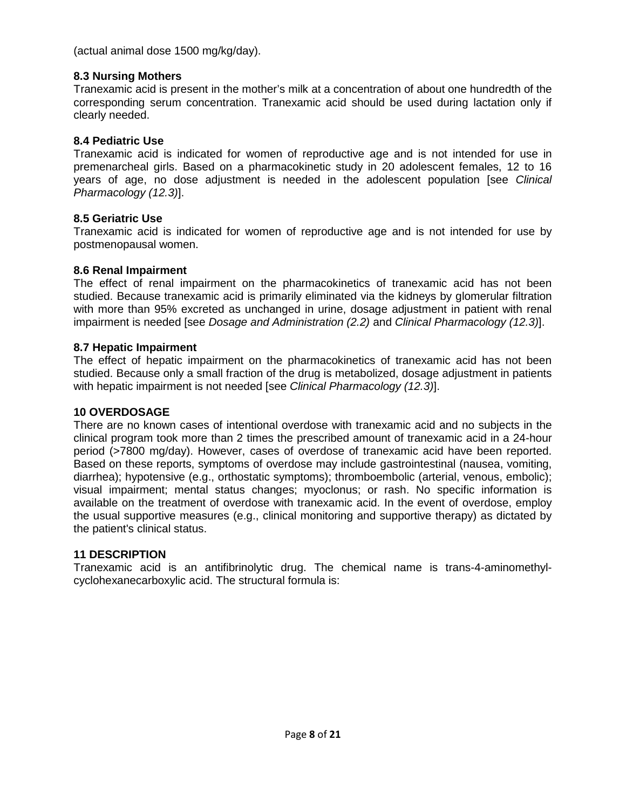<span id="page-7-0"></span>(actual animal dose 1500 mg/kg/day).

# **8.3 Nursing Mothers**

Tranexamic acid is present in the mother's milk at a concentration of about one hundredth of the corresponding serum concentration. Tranexamic acid should be used during lactation only if clearly needed.

# <span id="page-7-1"></span>**8.4 Pediatric Use**

Tranexamic acid is indicated for women of reproductive age and is not intended for use in premenarcheal girls. Based on a pharmacokinetic study in 20 adolescent females, 12 to 16 years of age, no dose adjustment is needed in the adolescent population [see *Clinical Pharmacology (12.3)*].

# <span id="page-7-2"></span>**8.5 Geriatric Use**

Tranexamic acid is indicated for women of reproductive age and is not intended for use by postmenopausal women.

# <span id="page-7-3"></span>**8.6 Renal Impairment**

The effect of renal impairment on the pharmacokinetics of tranexamic acid has not been studied. Because tranexamic acid is primarily eliminated via the kidneys by glomerular filtration with more than 95% excreted as unchanged in urine, dosage adjustment in patient with renal impairment is needed [see *Dosage and Administration (2.2)* and *Clinical Pharmacology (12.3)*].

# <span id="page-7-4"></span>**8.7 Hepatic Impairment**

The effect of hepatic impairment on the pharmacokinetics of tranexamic acid has not been studied. Because only a small fraction of the drug is metabolized, dosage adjustment in patients with hepatic impairment is not needed [see *Clinical Pharmacology (12.3)*].

# <span id="page-7-5"></span>**10 OVERDOSAGE**

There are no known cases of intentional overdose with tranexamic acid and no subjects in the clinical program took more than 2 times the prescribed amount of tranexamic acid in a 24-hour period (>7800 mg/day). However, cases of overdose of tranexamic acid have been reported. Based on these reports, symptoms of overdose may include gastrointestinal (nausea, vomiting, diarrhea); hypotensive (e.g., orthostatic symptoms); thromboembolic (arterial, venous, embolic); visual impairment; mental status changes; myoclonus; or rash. No specific information is available on the treatment of overdose with tranexamic acid. In the event of overdose, employ the usual supportive measures (e.g., clinical monitoring and supportive therapy) as dictated by the patient's clinical status.

# <span id="page-7-6"></span>**11 DESCRIPTION**

Tranexamic acid is an antifibrinolytic drug. The chemical name is trans-4-aminomethylcyclohexanecarboxylic acid. The structural formula is: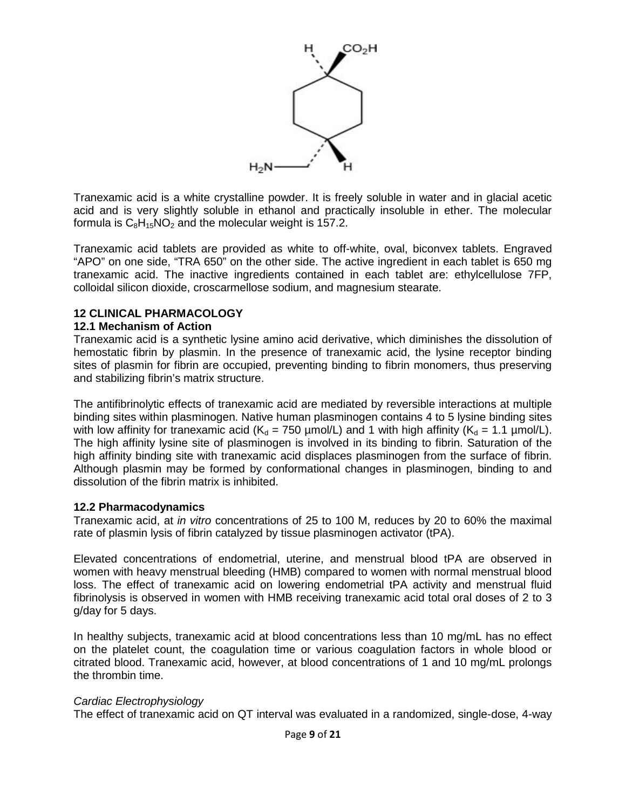

Tranexamic acid is a white crystalline powder. It is freely soluble in water and in glacial acetic acid and is very slightly soluble in ethanol and practically insoluble in ether. The molecular formula is  $C_8H_{15}NO_2$  and the molecular weight is 157.2.

Tranexamic acid tablets are provided as white to off-white, oval, biconvex tablets. Engraved "APO" on one side, "TRA 650" on the other side. The active ingredient in each tablet is 650 mg tranexamic acid. The inactive ingredients contained in each tablet are: ethylcellulose 7FP, colloidal silicon dioxide, croscarmellose sodium, and magnesium stearate.

## <span id="page-8-0"></span>**12 CLINICAL PHARMACOLOGY**

### <span id="page-8-1"></span>**12.1 Mechanism of Action**

Tranexamic acid is a synthetic lysine amino acid derivative, which diminishes the dissolution of hemostatic fibrin by plasmin. In the presence of tranexamic acid, the lysine receptor binding sites of plasmin for fibrin are occupied, preventing binding to fibrin monomers, thus preserving and stabilizing fibrin's matrix structure.

The antifibrinolytic effects of tranexamic acid are mediated by reversible interactions at multiple binding sites within plasminogen. Native human plasminogen contains 4 to 5 lysine binding sites with low affinity for tranexamic acid ( $K_d = 750 \mu \text{mol/L}$ ) and 1 with high affinity ( $K_d = 1.1 \mu \text{mol/L}$ ). The high affinity lysine site of plasminogen is involved in its binding to fibrin. Saturation of the high affinity binding site with tranexamic acid displaces plasminogen from the surface of fibrin. Although plasmin may be formed by conformational changes in plasminogen, binding to and dissolution of the fibrin matrix is inhibited.

## <span id="page-8-2"></span>**12.2 Pharmacodynamics**

Tranexamic acid, at *in vitro* concentrations of 25 to 100 M, reduces by 20 to 60% the maximal rate of plasmin lysis of fibrin catalyzed by tissue plasminogen activator (tPA).

Elevated concentrations of endometrial, uterine, and menstrual blood tPA are observed in women with heavy menstrual bleeding (HMB) compared to women with normal menstrual blood loss. The effect of tranexamic acid on lowering endometrial tPA activity and menstrual fluid fibrinolysis is observed in women with HMB receiving tranexamic acid total oral doses of 2 to 3 g/day for 5 days.

In healthy subjects, tranexamic acid at blood concentrations less than 10 mg/mL has no effect on the platelet count, the coagulation time or various coagulation factors in whole blood or citrated blood. Tranexamic acid, however, at blood concentrations of 1 and 10 mg/mL prolongs the thrombin time.

#### *Cardiac Electrophysiology*

The effect of tranexamic acid on QT interval was evaluated in a randomized, single-dose, 4-way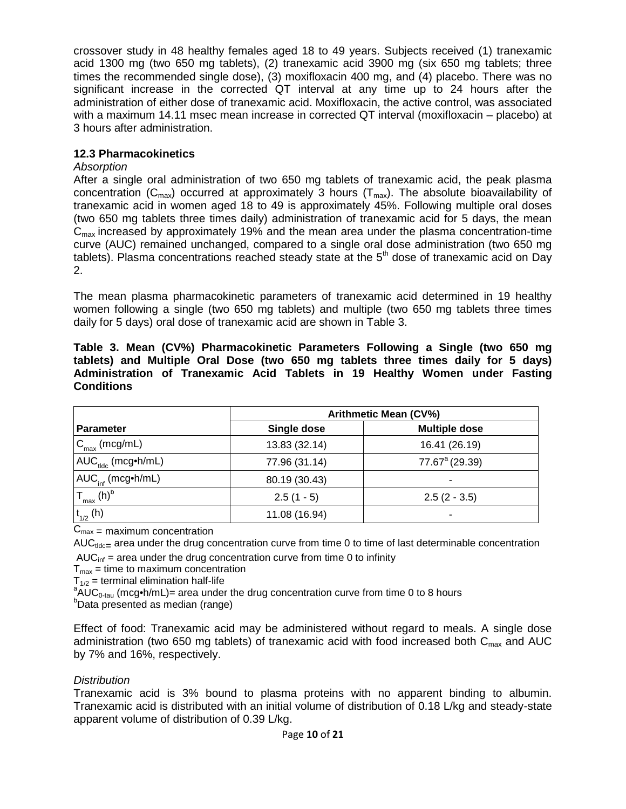crossover study in 48 healthy females aged 18 to 49 years. Subjects received (1) tranexamic acid 1300 mg (two 650 mg tablets), (2) tranexamic acid 3900 mg (six 650 mg tablets; three times the recommended single dose), (3) moxifloxacin 400 mg, and (4) placebo. There was no significant increase in the corrected QT interval at any time up to 24 hours after the administration of either dose of tranexamic acid. Moxifloxacin, the active control, was associated with a maximum 14.11 msec mean increase in corrected QT interval (moxifloxacin – placebo) at 3 hours after administration.

# <span id="page-9-0"></span>**12.3 Pharmacokinetics**

# *Absorption*

After a single oral administration of two 650 mg tablets of tranexamic acid, the peak plasma concentration ( $C_{\text{max}}$ ) occurred at approximately 3 hours ( $T_{\text{max}}$ ). The absolute bioavailability of tranexamic acid in women aged 18 to 49 is approximately 45%. Following multiple oral doses (two 650 mg tablets three times daily) administration of tranexamic acid for 5 days, the mean  $C<sub>max</sub>$  increased by approximately 19% and the mean area under the plasma concentration-time curve (AUC) remained unchanged, compared to a single oral dose administration (two 650 mg tablets). Plasma concentrations reached steady state at the  $5<sup>th</sup>$  dose of tranexamic acid on Day 2.

The mean plasma pharmacokinetic parameters of tranexamic acid determined in 19 healthy women following a single (two 650 mg tablets) and multiple (two 650 mg tablets three times daily for 5 days) oral dose of tranexamic acid are shown in Table 3.

|                   |  | Table 3. Mean (CV%) Pharmacokinetic Parameters Following a Single (two 650 mg     |  |
|-------------------|--|-----------------------------------------------------------------------------------|--|
|                   |  | tablets) and Multiple Oral Dose (two 650 mg tablets three times daily for 5 days) |  |
|                   |  | Administration of Tranexamic Acid Tablets in 19 Healthy Women under Fasting       |  |
| <b>Conditions</b> |  |                                                                                   |  |

|                                                               | <b>Arithmetic Mean (CV%)</b>        |                            |  |
|---------------------------------------------------------------|-------------------------------------|----------------------------|--|
| <b>Parameter</b>                                              | <b>Multiple dose</b><br>Single dose |                            |  |
| $C_{\text{max}}$ (mcg/mL)                                     | 13.83 (32.14)                       | 16.41 (26.19)              |  |
| ! AUC <sub>tldc</sub> (mcg∙h/mL)                              | 77.96 (31.14)                       | 77.67 <sup>a</sup> (29.39) |  |
| I AUC <sub>inf</sub> (mcg•h/mL)                               | 80.19 (30.43)                       |                            |  |
| $\mathsf{T}_{\mathsf{max}}\left(\mathsf{h}\right)^\mathsf{b}$ | $2.5(1 - 5)$                        | $2.5(2 - 3.5)$             |  |
| $t_{1/2}$ (h)                                                 | 11.08 (16.94)                       |                            |  |

 $C_{\text{max}}$  = maximum concentration

AUC $_{tdc}=$  area under the drug concentration curve from time 0 to time of last determinable concentration  $AUC_{\text{inf}}$  = area under the drug concentration curve from time 0 to infinity

 $T<sub>max</sub>$  = time to maximum concentration

 $T_{1/2}$  = terminal elimination half-life

 $A\overset{\sim}{\text{AUC}}_{0\text{-}\tan}$  (mcg•h/mL)= area under the drug concentration curve from time 0 to 8 hours

 $b$ Data presented as median (range)

Effect of food: Tranexamic acid may be administered without regard to meals. A single dose administration (two 650 mg tablets) of tranexamic acid with food increased both  $C_{\text{max}}$  and AUC by 7% and 16%, respectively.

# *Distribution*

Tranexamic acid is 3% bound to plasma proteins with no apparent binding to albumin. Tranexamic acid is distributed with an initial volume of distribution of 0.18 L/kg and steady-state apparent volume of distribution of 0.39 L/kg.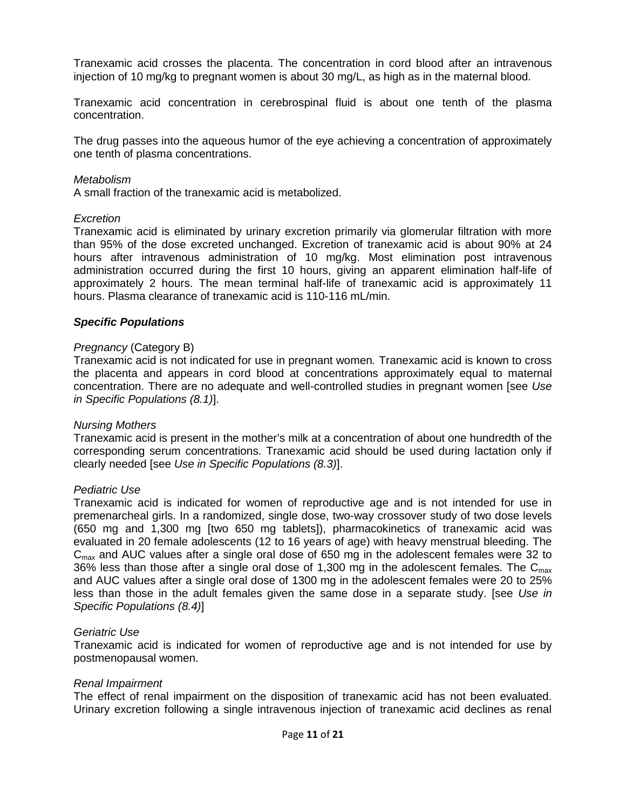Tranexamic acid crosses the placenta. The concentration in cord blood after an intravenous injection of 10 mg/kg to pregnant women is about 30 mg/L, as high as in the maternal blood.

Tranexamic acid concentration in cerebrospinal fluid is about one tenth of the plasma concentration.

The drug passes into the aqueous humor of the eye achieving a concentration of approximately one tenth of plasma concentrations.

#### *Metabolism*

A small fraction of the tranexamic acid is metabolized.

#### *Excretion*

Tranexamic acid is eliminated by urinary excretion primarily via glomerular filtration with more than 95% of the dose excreted unchanged. Excretion of tranexamic acid is about 90% at 24 hours after intravenous administration of 10 mg/kg. Most elimination post intravenous administration occurred during the first 10 hours, giving an apparent elimination half-life of approximately 2 hours. The mean terminal half-life of tranexamic acid is approximately 11 hours. Plasma clearance of tranexamic acid is 110-116 mL/min.

### *Specific Populations*

#### *Pregnancy* (Category B)

Tranexamic acid is not indicated for use in pregnant women*.* Tranexamic acid is known to cross the placenta and appears in cord blood at concentrations approximately equal to maternal concentration. There are no adequate and well-controlled studies in pregnant women [see *Use in Specific Populations (8.1)*].

#### *Nursing Mothers*

Tranexamic acid is present in the mother's milk at a concentration of about one hundredth of the corresponding serum concentrations. Tranexamic acid should be used during lactation only if clearly needed [see *Use in Specific Populations (8.3)*].

#### *Pediatric Use*

Tranexamic acid is indicated for women of reproductive age and is not intended for use in premenarcheal girls. In a randomized, single dose, two-way crossover study of two dose levels (650 mg and 1,300 mg [two 650 mg tablets]), pharmacokinetics of tranexamic acid was evaluated in 20 female adolescents (12 to 16 years of age) with heavy menstrual bleeding. The  $C<sub>max</sub>$  and AUC values after a single oral dose of 650 mg in the adolescent females were 32 to 36% less than those after a single oral dose of 1,300 mg in the adolescent females. The  $C_{\text{max}}$ and AUC values after a single oral dose of 1300 mg in the adolescent females were 20 to 25% less than those in the adult females given the same dose in a separate study. [see *Use in Specific Populations (8.4)*]

#### *Geriatric Use*

Tranexamic acid is indicated for women of reproductive age and is not intended for use by postmenopausal women.

#### *Renal Impairment*

The effect of renal impairment on the disposition of tranexamic acid has not been evaluated. Urinary excretion following a single intravenous injection of tranexamic acid declines as renal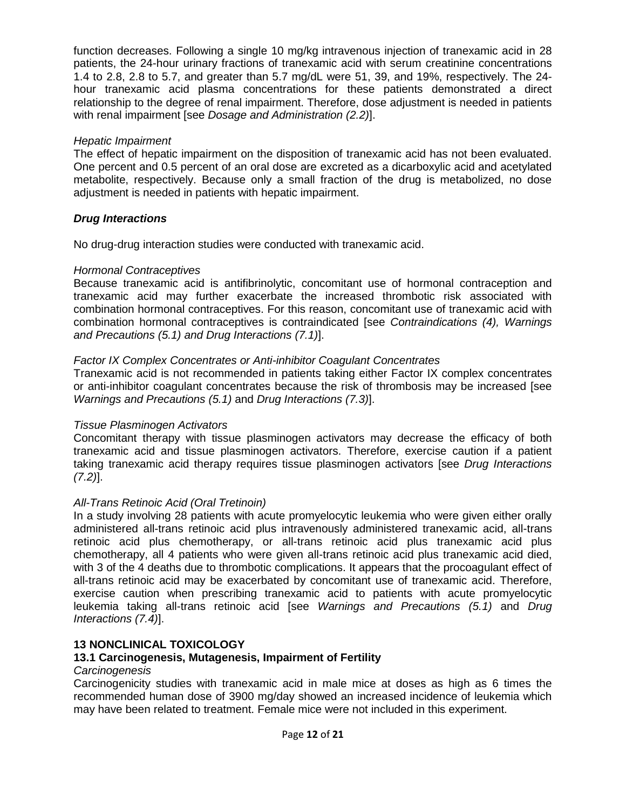function decreases. Following a single 10 mg/kg intravenous injection of tranexamic acid in 28 patients, the 24-hour urinary fractions of tranexamic acid with serum creatinine concentrations 1.4 to 2.8, 2.8 to 5.7, and greater than 5.7 mg/dL were 51, 39, and 19%, respectively. The 24 hour tranexamic acid plasma concentrations for these patients demonstrated a direct relationship to the degree of renal impairment. Therefore, dose adjustment is needed in patients with renal impairment [see *Dosage and Administration (2.2)*].

## *Hepatic Impairment*

The effect of hepatic impairment on the disposition of tranexamic acid has not been evaluated. One percent and 0.5 percent of an oral dose are excreted as a dicarboxylic acid and acetylated metabolite, respectively. Because only a small fraction of the drug is metabolized, no dose adjustment is needed in patients with hepatic impairment.

## *Drug Interactions*

No drug-drug interaction studies were conducted with tranexamic acid.

## *Hormonal Contraceptives*

Because tranexamic acid is antifibrinolytic, concomitant use of hormonal contraception and tranexamic acid may further exacerbate the increased thrombotic risk associated with combination hormonal contraceptives. For this reason, concomitant use of tranexamic acid with combination hormonal contraceptives is contraindicated [see *Contraindications (4), Warnings and Precautions (5.1) and Drug Interactions (7.1)*].

# *Factor IX Complex Concentrates or Anti-inhibitor Coagulant Concentrates*

Tranexamic acid is not recommended in patients taking either Factor IX complex concentrates or anti-inhibitor coagulant concentrates because the risk of thrombosis may be increased [see *Warnings and Precautions (5.1)* and *Drug Interactions (7.3)*].

# *Tissue Plasminogen Activators*

Concomitant therapy with tissue plasminogen activators may decrease the efficacy of both tranexamic acid and tissue plasminogen activators. Therefore, exercise caution if a patient taking tranexamic acid therapy requires tissue plasminogen activators [see *Drug Interactions (7.2)*].

# *All-Trans Retinoic Acid (Oral Tretinoin)*

In a study involving 28 patients with acute promyelocytic leukemia who were given either orally administered all-trans retinoic acid plus intravenously administered tranexamic acid, all-trans retinoic acid plus chemotherapy, or all-trans retinoic acid plus tranexamic acid plus chemotherapy, all 4 patients who were given all-trans retinoic acid plus tranexamic acid died, with 3 of the 4 deaths due to thrombotic complications. It appears that the procoagulant effect of all-trans retinoic acid may be exacerbated by concomitant use of tranexamic acid. Therefore, exercise caution when prescribing tranexamic acid to patients with acute promyelocytic leukemia taking all-trans retinoic acid [see *Warnings and Precautions (5.1)* and *Drug Interactions (7.4)*].

# <span id="page-11-0"></span>**13 NONCLINICAL TOXICOLOGY**

# <span id="page-11-1"></span>**13.1 Carcinogenesis, Mutagenesis, Impairment of Fertility**

## *Carcinogenesis*

Carcinogenicity studies with tranexamic acid in male mice at doses as high as 6 times the recommended human dose of 3900 mg/day showed an increased incidence of leukemia which may have been related to treatment. Female mice were not included in this experiment.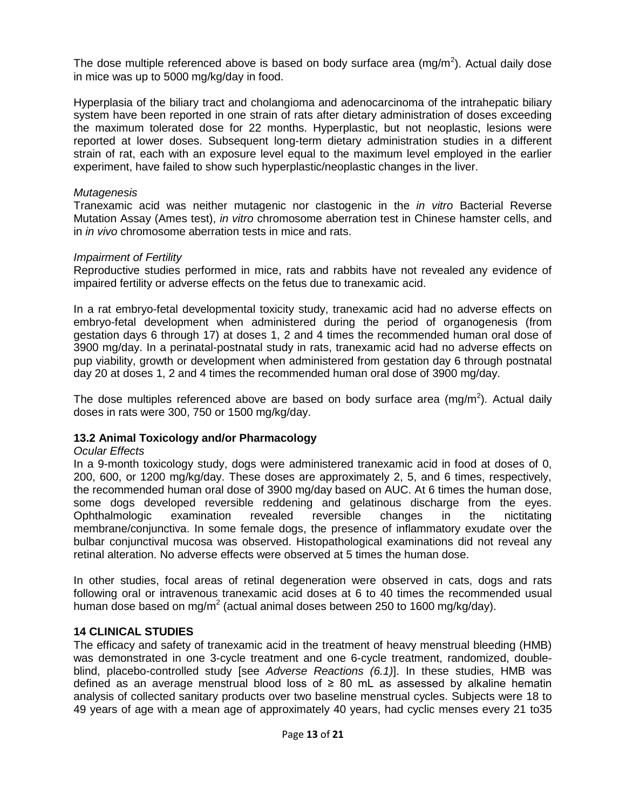The dose multiple referenced above is based on body surface area (mg/m<sup>2</sup>). Actual daily dose in mice was up to 5000 mg/kg/day in food.

Hyperplasia of the biliary tract and cholangioma and adenocarcinoma of the intrahepatic biliary system have been reported in one strain of rats after dietary administration of doses exceeding the maximum tolerated dose for 22 months. Hyperplastic, but not neoplastic, lesions were reported at lower doses. Subsequent long-term dietary administration studies in a different strain of rat, each with an exposure level equal to the maximum level employed in the earlier experiment, have failed to show such hyperplastic/neoplastic changes in the liver.

## *Mutagenesis*

Tranexamic acid was neither mutagenic nor clastogenic in the *in vitro* Bacterial Reverse Mutation Assay (Ames test), *in vitro* chromosome aberration test in Chinese hamster cells, and in *in vivo* chromosome aberration tests in mice and rats.

## *Impairment of Fertility*

Reproductive studies performed in mice, rats and rabbits have not revealed any evidence of impaired fertility or adverse effects on the fetus due to tranexamic acid.

In a rat embryo-fetal developmental toxicity study, tranexamic acid had no adverse effects on embryo-fetal development when administered during the period of organogenesis (from gestation days 6 through 17) at doses 1, 2 and 4 times the recommended human oral dose of 3900 mg/day. In a perinatal-postnatal study in rats, tranexamic acid had no adverse effects on pup viability, growth or development when administered from gestation day 6 through postnatal day 20 at doses 1, 2 and 4 times the recommended human oral dose of 3900 mg/day.

The dose multiples referenced above are based on body surface area (mg/m<sup>2</sup>). Actual daily doses in rats were 300, 750 or 1500 mg/kg/day.

## <span id="page-12-0"></span>**13.2 Animal Toxicology and/or Pharmacology**

## *Ocular Effects*

In a 9-month toxicology study, dogs were administered tranexamic acid in food at doses of 0, 200, 600, or 1200 mg/kg/day. These doses are approximately 2, 5, and 6 times, respectively, the recommended human oral dose of 3900 mg/day based on AUC. At 6 times the human dose, some dogs developed reversible reddening and gelatinous discharge from the eyes. Ophthalmologic examination revealed reversible changes in the nictitating membrane/conjunctiva. In some female dogs, the presence of inflammatory exudate over the bulbar conjunctival mucosa was observed. Histopathological examinations did not reveal any retinal alteration. No adverse effects were observed at 5 times the human dose.

In other studies, focal areas of retinal degeneration were observed in cats, dogs and rats following oral or intravenous tranexamic acid doses at 6 to 40 times the recommended usual human dose based on mg/m<sup>2</sup> (actual animal doses between 250 to 1600 mg/kg/day).

## <span id="page-12-1"></span>**14 CLINICAL STUDIES**

The efficacy and safety of tranexamic acid in the treatment of heavy menstrual bleeding (HMB) was demonstrated in one 3-cycle treatment and one 6-cycle treatment, randomized, doubleblind, placebo-controlled study [see *Adverse Reactions (6.1)*]. In these studies, HMB was defined as an average menstrual blood loss of ≥ 80 mL as assessed by alkaline hematin analysis of collected sanitary products over two baseline menstrual cycles. Subjects were 18 to 49 years of age with a mean age of approximately 40 years, had cyclic menses every 21 to35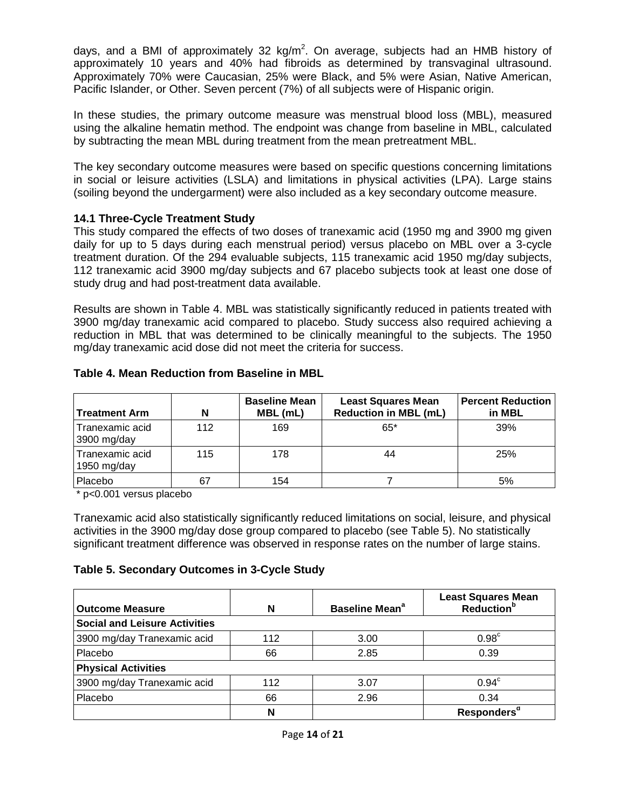days, and a BMI of approximately 32  $kg/m<sup>2</sup>$ . On average, subjects had an HMB history of approximately 10 years and 40% had fibroids as determined by transvaginal ultrasound. Approximately 70% were Caucasian, 25% were Black, and 5% were Asian, Native American, Pacific Islander, or Other. Seven percent (7%) of all subjects were of Hispanic origin.

In these studies, the primary outcome measure was menstrual blood loss (MBL), measured using the alkaline hematin method. The endpoint was change from baseline in MBL, calculated by subtracting the mean MBL during treatment from the mean pretreatment MBL.

The key secondary outcome measures were based on specific questions concerning limitations in social or leisure activities (LSLA) and limitations in physical activities (LPA). Large stains (soiling beyond the undergarment) were also included as a key secondary outcome measure.

## <span id="page-13-0"></span>**14.1 Three-Cycle Treatment Study**

This study compared the effects of two doses of tranexamic acid (1950 mg and 3900 mg given daily for up to 5 days during each menstrual period) versus placebo on MBL over a 3-cycle treatment duration. Of the 294 evaluable subjects, 115 tranexamic acid 1950 mg/day subjects, 112 tranexamic acid 3900 mg/day subjects and 67 placebo subjects took at least one dose of study drug and had post-treatment data available.

Results are shown in Table 4. MBL was statistically significantly reduced in patients treated with 3900 mg/day tranexamic acid compared to placebo. Study success also required achieving a reduction in MBL that was determined to be clinically meaningful to the subjects. The 1950 mg/day tranexamic acid dose did not meet the criteria for success.

<span id="page-13-2"></span><span id="page-13-1"></span>

| <b>Treatment Arm</b>           | N   | <b>Baseline Mean</b><br>MBL (mL) | <b>Least Squares Mean</b><br><b>Reduction in MBL (mL)</b> | <b>Percent Reduction</b><br>in MBL |
|--------------------------------|-----|----------------------------------|-----------------------------------------------------------|------------------------------------|
| Tranexamic acid<br>3900 mg/day | 112 | 169                              | $65*$                                                     | 39%                                |
| Tranexamic acid<br>1950 mg/day | 115 | 178                              | 44                                                        | 25%                                |
| Placebo                        | 67  | 154                              |                                                           | 5%                                 |

## **Table 4. Mean Reduction from Baseline in MBL**

[\\*](#page-13-2) p<0.001 versus placebo

Tranexamic acid also statistically significantly reduced limitations on social, leisure, and physical activities in the 3900 mg/day dose group compared to placebo (see Table 5). No statistically significant treatment difference was observed in response rates on the number of large stains.

# **Table 5. Secondary Outcomes in 3-Cycle Study**

| <b>Outcome Measure</b>               | N   | Baseline Mean <sup>a</sup> | <b>Least Squares Mean</b><br>Reduction <sup>b</sup> |
|--------------------------------------|-----|----------------------------|-----------------------------------------------------|
| <b>Social and Leisure Activities</b> |     |                            |                                                     |
| 3900 mg/day Tranexamic acid          | 112 | 3.00                       | 0.98 <sup>c</sup>                                   |
| Placebo                              | 66  | 2.85                       | 0.39                                                |
| <b>Physical Activities</b>           |     |                            |                                                     |
| 3900 mg/day Tranexamic acid          | 112 | 3.07                       | $0.94^\circ$                                        |
| Placebo                              | 66  | 2.96                       | 0.34                                                |
|                                      | N   |                            | Responders <sup>d</sup>                             |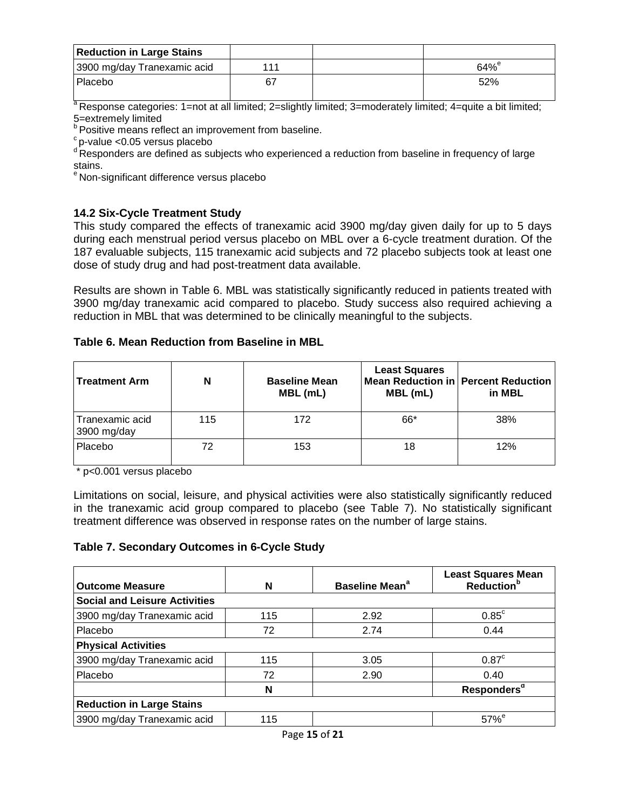| <b>Reduction in Large Stains</b> |     |              |
|----------------------------------|-----|--------------|
| 3900 mg/day Tranexamic acid      | 111 | $64\%^\circ$ |
| Placebo                          | 67  | 52%          |

<span id="page-14-0"></span> $a$  Response categories: 1=not at all limited; 2=slightly limited; 3=moderately limited; 4=quite a bit limited; 5=extremely limited

b Positive means reflect an improvement from baseline.<br>
"Positive means reflect an improvement from baseline.

<sup>d</sup> Responders are defined as subjects who experienced a reduction from baseline in frequency of large stains.

<sup>e</sup> Non-significant difference versus placebo

# **14.2 Six-Cycle Treatment Study**

This study compared the effects of tranexamic acid 3900 mg/day given daily for up to 5 days during each menstrual period versus placebo on MBL over a 6-cycle treatment duration. Of the 187 evaluable subjects, 115 tranexamic acid subjects and 72 placebo subjects took at least one dose of study drug and had post-treatment data available.

Results are shown in Table 6. MBL was statistically significantly reduced in patients treated with 3900 mg/day tranexamic acid compared to placebo. Study success also required achieving a reduction in MBL that was determined to be clinically meaningful to the subjects.

## **Table 6. Mean Reduction from Baseline in MBL**

| <b>Treatment Arm</b>           | N   | <b>Baseline Mean</b><br>MBL (mL) | <b>Least Squares</b><br>MBL (mL) | Mean Reduction in Percent Reduction<br>in MBL |
|--------------------------------|-----|----------------------------------|----------------------------------|-----------------------------------------------|
| Tranexamic acid<br>3900 mg/day | 115 | 172                              | 66*                              | 38%                                           |
| Placebo                        | 72  | 153                              | 18                               | 12%                                           |

\* p<0.001 versus placebo

Limitations on social, leisure, and physical activities were also statistically significantly reduced in the tranexamic acid group compared to placebo (see Table 7). No statistically significant treatment difference was observed in response rates on the number of large stains.

# **Table 7. Secondary Outcomes in 6-Cycle Study**

| <b>Outcome Measure</b>               | N   | Baseline Mean <sup>a</sup> | <b>Least Squares Mean</b><br>Reduction <sup>b</sup> |
|--------------------------------------|-----|----------------------------|-----------------------------------------------------|
| <b>Social and Leisure Activities</b> |     |                            |                                                     |
| 3900 mg/day Tranexamic acid          | 115 | 2.92                       | $0.85^{\circ}$                                      |
| Placebo                              | 72  | 2.74                       | 0.44                                                |
| <b>Physical Activities</b>           |     |                            |                                                     |
| 3900 mg/day Tranexamic acid          | 115 | 3.05                       | 0.87 <sup>c</sup>                                   |
| Placebo                              | 72  | 2.90                       | 0.40                                                |
|                                      | N   |                            | Responders <sup>d</sup>                             |
| <b>Reduction in Large Stains</b>     |     |                            |                                                     |
| 3900 mg/day Tranexamic acid          | 115 |                            | $57\%$ <sup>e</sup>                                 |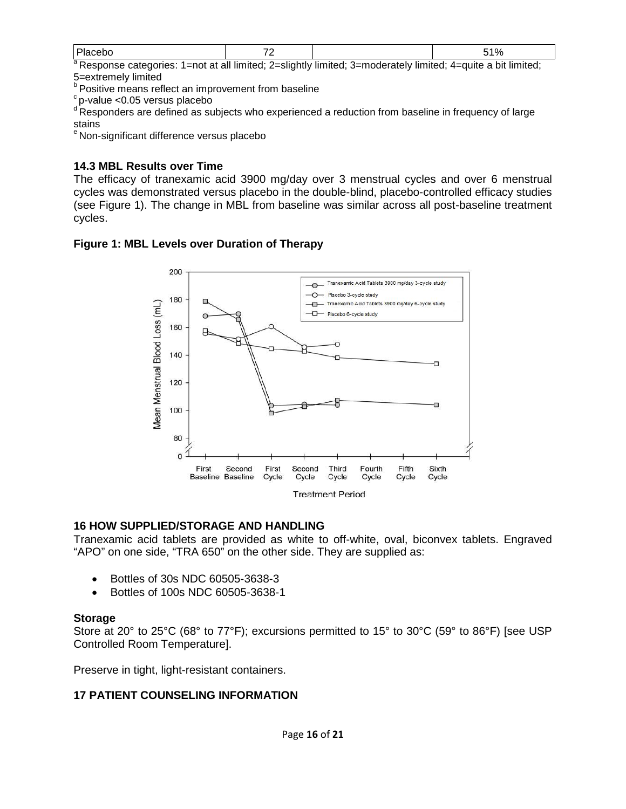| aг<br>⊥–n∩t<br>' Raenonea catagoriae: | t at all limited: 2—elightly limited: 3—moderately limited: { | $A$ —muite a hit<br>lımıtad <sup>.</sup> |
|---------------------------------------|---------------------------------------------------------------|------------------------------------------|

<span id="page-15-1"></span>slightly limited; 3=moderately limited; 4= 5=extremely limited

 $^{\circ}$  Positive means reflect an improvement from baseline  $^{\circ}$  p-value <0.05 versus placebo

d Responders are defined as subjects who experienced a reduction from baseline in frequency of large stains

<sup>3</sup> Non-significant difference versus placebo

## **14.3 MBL Results over Time**

The efficacy of tranexamic acid 3900 mg/day over 3 menstrual cycles and over 6 menstrual cycles was demonstrated versus placebo in the double-blind, placebo-controlled efficacy studies (see Figure 1). The change in MBL from baseline was similar across all post-baseline treatment cycles.

## **Figure 1: MBL Levels over Duration of Therapy**



## <span id="page-15-2"></span>**16 HOW SUPPLIED/STORAGE AND HANDLING**

Tranexamic acid tablets are provided as white to off-white, oval, biconvex tablets. Engraved "APO" on one side, "TRA 650" on the other side. They are supplied as:

- Bottles of 30s NDC 60505-3638-3
- Bottles of 100s NDC 60505-3638-1

## **Storage**

Store at 20° to 25°C (68° to 77°F); excursions permitted to 15° to 30°C (59° to 86°F) [see USP Controlled Room Temperature].

<span id="page-15-0"></span>Preserve in tight, light-resistant containers.

# **17 PATIENT COUNSELING INFORMATION**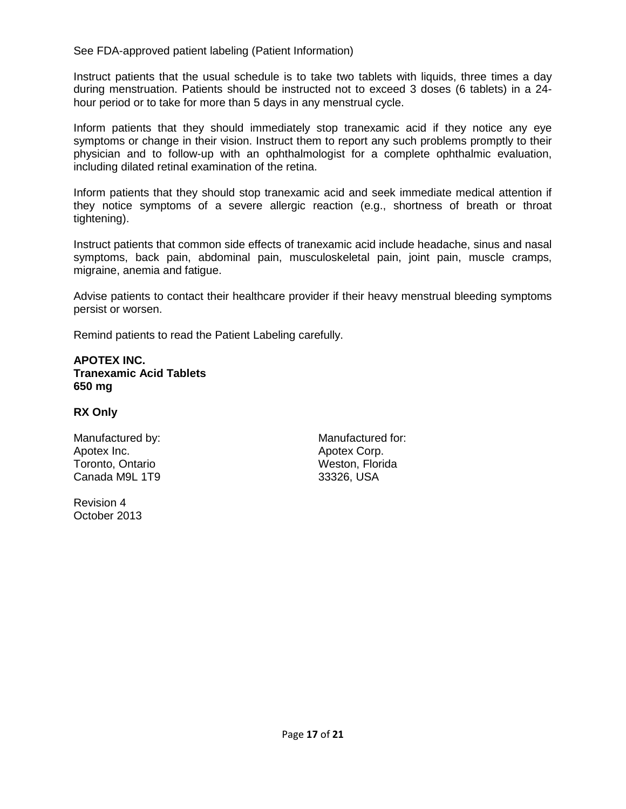See FDA-approved patient labeling (Patient Information)

Instruct patients that the usual schedule is to take two tablets with liquids, three times a day during menstruation. Patients should be instructed not to exceed 3 doses (6 tablets) in a 24 hour period or to take for more than 5 days in any menstrual cycle.

Inform patients that they should immediately stop tranexamic acid if they notice any eye symptoms or change in their vision. Instruct them to report any such problems promptly to their physician and to follow-up with an ophthalmologist for a complete ophthalmic evaluation, including dilated retinal examination of the retina.

Inform patients that they should stop tranexamic acid and seek immediate medical attention if they notice symptoms of a severe allergic reaction (e.g., shortness of breath or throat tightening).

Instruct patients that common side effects of tranexamic acid include headache, sinus and nasal symptoms, back pain, abdominal pain, musculoskeletal pain, joint pain, muscle cramps, migraine, anemia and fatigue.

Advise patients to contact their healthcare provider if their heavy menstrual bleeding symptoms persist or worsen.

Remind patients to read the Patient Labeling carefully.

### **APOTEX INC. Tranexamic Acid Tablets 650 mg**

## **RX Only**

Manufactured by: Manufactured for: Apotex Inc. **Apotex Corp.** Apotex Corp. Toronto, Ontario **Weston, Florida** Canada M9L 1T9 33326, USA

Revision 4 October 2013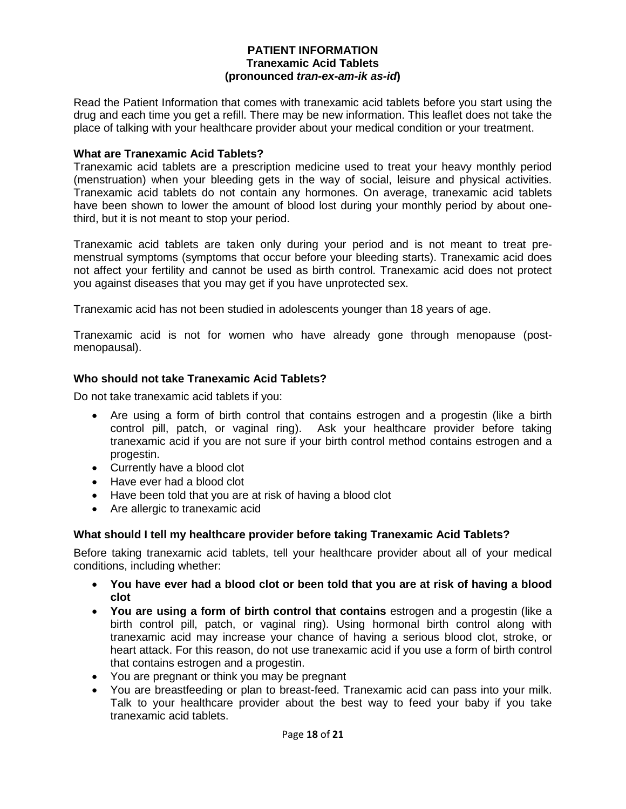### **PATIENT INFORMATION Tranexamic Acid Tablets (pronounced** *tran-ex-am-ik as-id***)**

Read the Patient Information that comes with tranexamic acid tablets before you start using the drug and each time you get a refill. There may be new information. This leaflet does not take the place of talking with your healthcare provider about your medical condition or your treatment.

## **What are Tranexamic Acid Tablets?**

Tranexamic acid tablets are a prescription medicine used to treat your heavy monthly period (menstruation) when your bleeding gets in the way of social, leisure and physical activities. Tranexamic acid tablets do not contain any hormones. On average, tranexamic acid tablets have been shown to lower the amount of blood lost during your monthly period by about onethird, but it is not meant to stop your period.

Tranexamic acid tablets are taken only during your period and is not meant to treat premenstrual symptoms (symptoms that occur before your bleeding starts). Tranexamic acid does not affect your fertility and cannot be used as birth control. Tranexamic acid does not protect you against diseases that you may get if you have unprotected sex.

Tranexamic acid has not been studied in adolescents younger than 18 years of age.

Tranexamic acid is not for women who have already gone through menopause (postmenopausal).

## **Who should not take Tranexamic Acid Tablets?**

Do not take tranexamic acid tablets if you:

- Are using a form of birth control that contains estrogen and a progestin (like a birth control pill, patch, or vaginal ring). Ask your healthcare provider before taking tranexamic acid if you are not sure if your birth control method contains estrogen and a progestin.
- Currently have a blood clot
- Have ever had a blood clot
- Have been told that you are at risk of having a blood clot
- Are allergic to tranexamic acid

## **What should I tell my healthcare provider before taking Tranexamic Acid Tablets?**

Before taking tranexamic acid tablets, tell your healthcare provider about all of your medical conditions, including whether:

- **You have ever had a blood clot or been told that you are at risk of having a blood clot**
- **You are using a form of birth control that contains** estrogen and a progestin (like a birth control pill, patch, or vaginal ring). Using hormonal birth control along with tranexamic acid may increase your chance of having a serious blood clot, stroke, or heart attack. For this reason, do not use tranexamic acid if you use a form of birth control that contains estrogen and a progestin.
- You are pregnant or think you may be pregnant
- You are breastfeeding or plan to breast-feed. Tranexamic acid can pass into your milk. Talk to your healthcare provider about the best way to feed your baby if you take tranexamic acid tablets.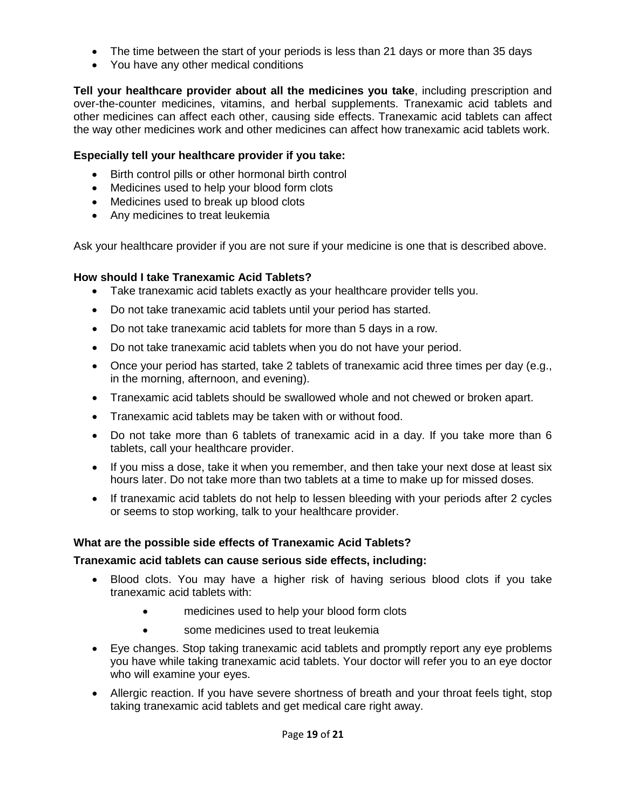- The time between the start of your periods is less than 21 days or more than 35 days
- You have any other medical conditions

**Tell your healthcare provider about all the medicines you take**, including prescription and over-the-counter medicines, vitamins, and herbal supplements. Tranexamic acid tablets and other medicines can affect each other, causing side effects. Tranexamic acid tablets can affect the way other medicines work and other medicines can affect how tranexamic acid tablets work.

## **Especially tell your healthcare provider if you take:**

- Birth control pills or other hormonal birth control
- Medicines used to help your blood form clots
- Medicines used to break up blood clots
- Any medicines to treat leukemia

Ask your healthcare provider if you are not sure if your medicine is one that is described above.

## **How should I take Tranexamic Acid Tablets?**

- Take tranexamic acid tablets exactly as your healthcare provider tells you.
- Do not take tranexamic acid tablets until your period has started.
- Do not take tranexamic acid tablets for more than 5 days in a row.
- Do not take tranexamic acid tablets when you do not have your period.
- Once your period has started, take 2 tablets of tranexamic acid three times per day (e.g., in the morning, afternoon, and evening).
- Tranexamic acid tablets should be swallowed whole and not chewed or broken apart.
- Tranexamic acid tablets may be taken with or without food.
- Do not take more than 6 tablets of tranexamic acid in a day. If you take more than 6 tablets, call your healthcare provider.
- If you miss a dose, take it when you remember, and then take your next dose at least six hours later. Do not take more than two tablets at a time to make up for missed doses.
- If tranexamic acid tablets do not help to lessen bleeding with your periods after 2 cycles or seems to stop working, talk to your healthcare provider.

## **What are the possible side effects of Tranexamic Acid Tablets?**

## **Tranexamic acid tablets can cause serious side effects, including:**

- Blood clots. You may have a higher risk of having serious blood clots if you take tranexamic acid tablets with:
	- medicines used to help your blood form clots
	- some medicines used to treat leukemia
- Eye changes. Stop taking tranexamic acid tablets and promptly report any eye problems you have while taking tranexamic acid tablets. Your doctor will refer you to an eye doctor who will examine your eyes.
- Allergic reaction. If you have severe shortness of breath and your throat feels tight, stop taking tranexamic acid tablets and get medical care right away.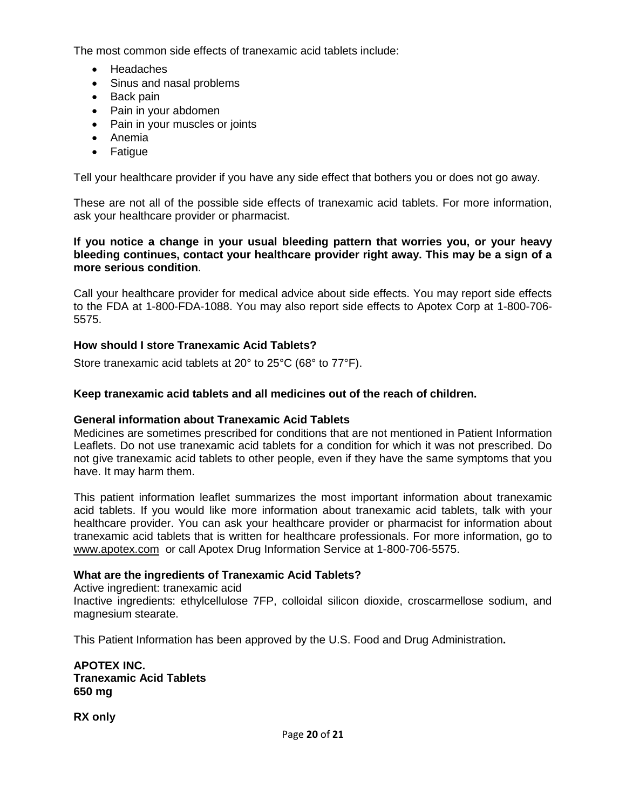The most common side effects of tranexamic acid tablets include:

- Headaches
- Sinus and nasal problems
- Back pain
- Pain in your abdomen
- Pain in your muscles or joints
- Anemia
- Fatigue

Tell your healthcare provider if you have any side effect that bothers you or does not go away.

These are not all of the possible side effects of tranexamic acid tablets. For more information, ask your healthcare provider or pharmacist.

### **If you notice a change in your usual bleeding pattern that worries you, or your heavy bleeding continues, contact your healthcare provider right away. This may be a sign of a more serious condition**.

Call your healthcare provider for medical advice about side effects. You may report side effects to the FDA at 1-800-FDA-1088. You may also report side effects to Apotex Corp at 1-800-706- 5575.

# **How should I store Tranexamic Acid Tablets?**

Store tranexamic acid tablets at 20° to 25°C (68° to 77°F).

## **Keep tranexamic acid tablets and all medicines out of the reach of children.**

## **General information about Tranexamic Acid Tablets**

Medicines are sometimes prescribed for conditions that are not mentioned in Patient Information Leaflets. Do not use tranexamic acid tablets for a condition for which it was not prescribed. Do not give tranexamic acid tablets to other people, even if they have the same symptoms that you have. It may harm them.

This patient information leaflet summarizes the most important information about tranexamic acid tablets. If you would like more information about tranexamic acid tablets, talk with your healthcare provider. You can ask your healthcare provider or pharmacist for information about tranexamic acid tablets that is written for healthcare professionals. For more information, go to www.apotex.com or call Apotex Drug Information Service at 1-800-706-5575.

## **What are the ingredients of Tranexamic Acid Tablets?**

Active ingredient: tranexamic acid

Inactive ingredients: ethylcellulose 7FP, colloidal silicon dioxide, croscarmellose sodium, and magnesium stearate.

This Patient Information has been approved by the U.S. Food and Drug Administration**.**

**APOTEX INC. Tranexamic Acid Tablets 650 mg**

**RX only**